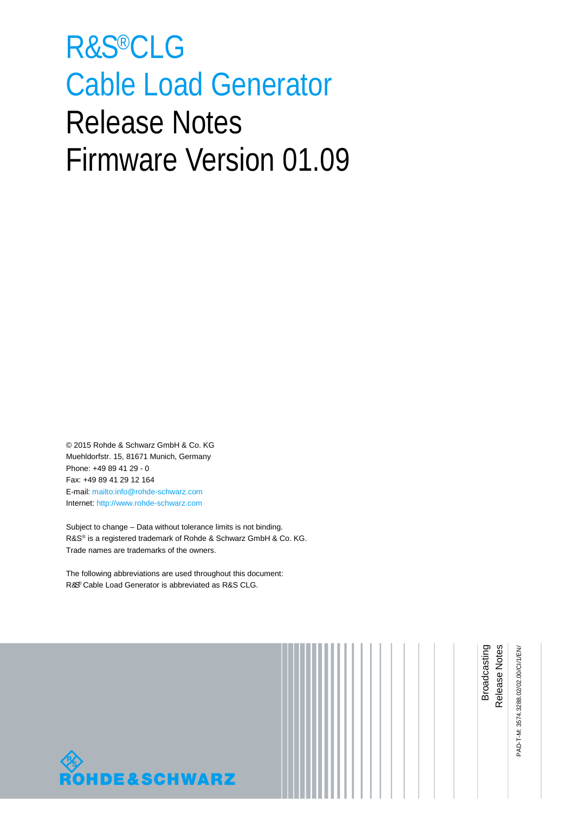# <span id="page-0-0"></span>R&S®CLG Cable Load Generator Release Notes Firmware Version 01.09

© 2015 Rohde & Schwarz GmbH & Co. KG Muehldorfstr. 15, 81671 Munich, Germany Phone: +49 89 41 29 - 0 Fax: +49 89 41 29 12 164 E-mail[: mailto:info@rohde-schwarz.com](mailto:info@rohde-schwarz.com) Internet: [http://www.rohde-schwarz.com](http://www.rohde-schwarz.com/)

Subject to change – Data without tolerance limits is not binding. R&S® is a registered trademark of Rohde & Schwarz GmbH & Co. KG. Trade names are trademarks of the owners.

The following abbreviations are used throughout this document: R&S® Cable Load Generator is abbreviated as R&[S CLG.](#page-0-0)



PAD-T-M: 3574.3288.02/02.00/CI/1/EN/ PAD-T-M: 3574.3288.02/02.00/CI/1/EN/

Release Notes Broadcasting

Broadcasting Release Notes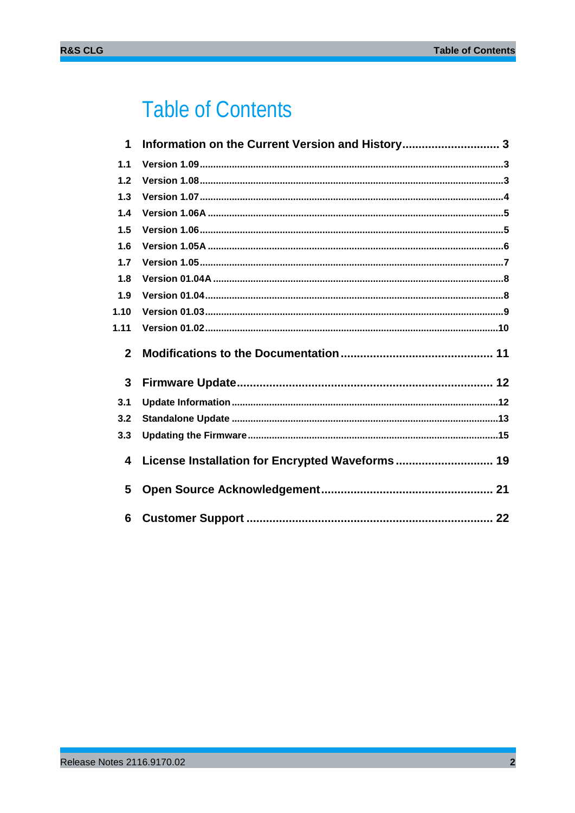## **Table of Contents**

| 1            | Information on the Current Version and History 3 |
|--------------|--------------------------------------------------|
| 1.1          |                                                  |
| 1.2          |                                                  |
| 1.3          |                                                  |
| 1.4          |                                                  |
| 1.5          |                                                  |
| 1.6          |                                                  |
| 1.7          |                                                  |
| 1.8          |                                                  |
| 1.9          |                                                  |
| 1.10         |                                                  |
| 1.11         |                                                  |
| $\mathbf{2}$ |                                                  |
| 3            |                                                  |
| 3.1          |                                                  |
| 3.2          |                                                  |
| 3.3          |                                                  |
| 4            | License Installation for Encrypted Waveforms 19  |
| 5            |                                                  |
| 6            |                                                  |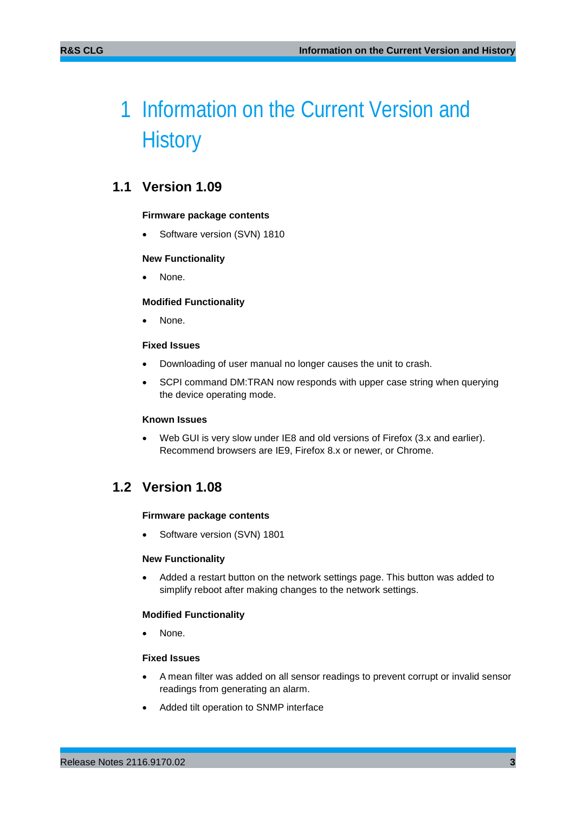## <span id="page-2-0"></span>1 Information on the Current Version and **History**

## <span id="page-2-1"></span>**1.1 Version 1.09**

#### **Firmware package contents**

Software version (SVN) 1810

#### **New Functionality**

None.

#### **Modified Functionality**

None.

#### **Fixed Issues**

- Downloading of user manual no longer causes the unit to crash.
- SCPI command DM:TRAN now responds with upper case string when querying the device operating mode.

#### **Known Issues**

<span id="page-2-2"></span>Web GUI is very slow under IE8 and old versions of Firefox (3.x and earlier). Recommend browsers are IE9, Firefox 8.x or newer, or Chrome.

### **1.2 Version 1.08**

#### **Firmware package contents**

Software version (SVN) 1801

#### **New Functionality**

• Added a restart button on the network settings page. This button was added to simplify reboot after making changes to the network settings.

#### **Modified Functionality**

None.

#### **Fixed Issues**

- A mean filter was added on all sensor readings to prevent corrupt or invalid sensor readings from generating an alarm.
- Added tilt operation to SNMP interface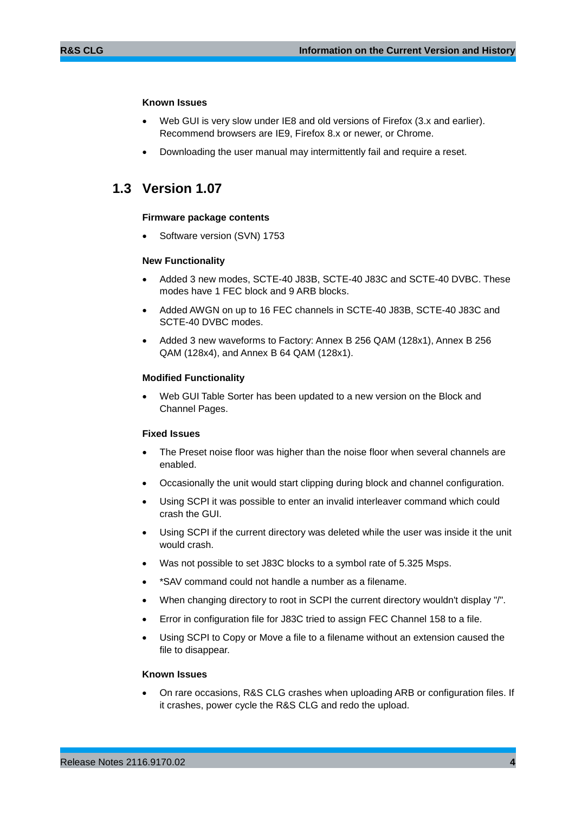#### **Known Issues**

- Web GUI is very slow under IE8 and old versions of Firefox (3.x and earlier). Recommend browsers are IE9, Firefox 8.x or newer, or Chrome.
- <span id="page-3-0"></span>• Downloading the user manual may intermittently fail and require a reset.

### **1.3 Version 1.07**

#### **Firmware package contents**

Software version (SVN) 1753

#### **New Functionality**

- Added 3 new modes, SCTE-40 J83B, SCTE-40 J83C and SCTE-40 DVBC. These modes have 1 FEC block and 9 ARB blocks.
- Added AWGN on up to 16 FEC channels in SCTE-40 J83B, SCTE-40 J83C and SCTE-40 DVBC modes.
- Added 3 new waveforms to Factory: Annex B 256 QAM (128x1), Annex B 256 QAM (128x4), and Annex B 64 QAM (128x1).

#### **Modified Functionality**

• Web GUI Table Sorter has been updated to a new version on the Block and Channel Pages.

#### **Fixed Issues**

- The Preset noise floor was higher than the noise floor when several channels are enabled.
- Occasionally the unit would start clipping during block and channel configuration.
- Using SCPI it was possible to enter an invalid interleaver command which could crash the GUI.
- Using SCPI if the current directory was deleted while the user was inside it the unit would crash.
- Was not possible to set J83C blocks to a symbol rate of 5.325 Msps.
- \*SAV command could not handle a number as a filename.
- When changing directory to root in SCPI the current directory wouldn't display "/".
- Error in configuration file for J83C tried to assign FEC Channel 158 to a file.
- Using SCPI to Copy or Move a file to a filename without an extension caused the file to disappear.

#### **Known Issues**

• On rare occasions, R&S CLG crashes when uploading ARB or configuration files. If it crashes, power cycle the R&S CLG and redo the upload.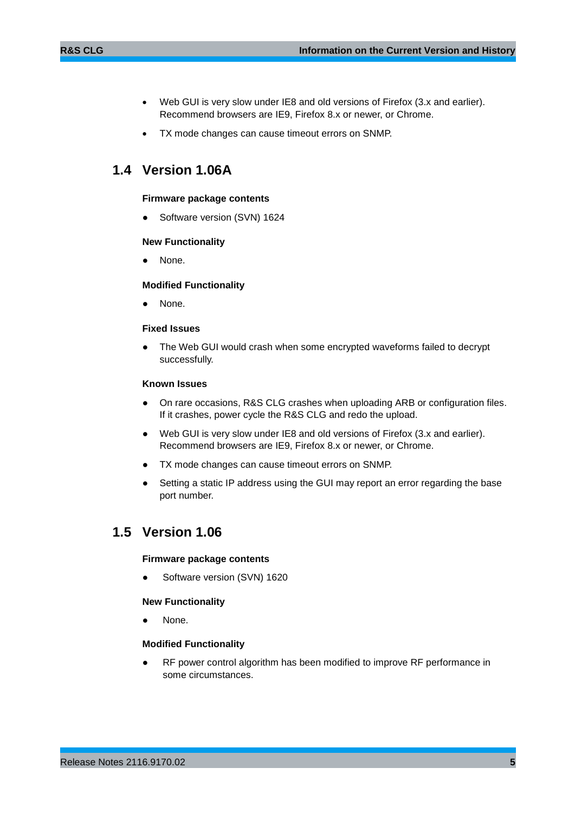- Web GUI is very slow under IE8 and old versions of Firefox (3.x and earlier). Recommend browsers are IE9, Firefox 8.x or newer, or Chrome.
- <span id="page-4-0"></span>TX mode changes can cause timeout errors on SNMP.

## **1.4 Version 1.06A**

#### **Firmware package contents**

Software version (SVN) 1624

#### **New Functionality**

None.

#### **Modified Functionality**

None.

#### **Fixed Issues**

The Web GUI would crash when some encrypted waveforms failed to decrypt successfully.

#### **Known Issues**

- On rare occasions, R&S CLG crashes when uploading ARB or configuration files. If it crashes, power cycle the R&S CLG and redo the upload.
- Web GUI is very slow under IE8 and old versions of Firefox (3.x and earlier). Recommend browsers are IE9, Firefox 8.x or newer, or Chrome.
- TX mode changes can cause timeout errors on SNMP.
- <span id="page-4-1"></span>Setting a static IP address using the GUI may report an error regarding the base port number.

### **1.5 Version 1.06**

#### **Firmware package contents**

Software version (SVN) 1620

#### **New Functionality**

None.

#### **Modified Functionality**

RF power control algorithm has been modified to improve RF performance in some circumstances.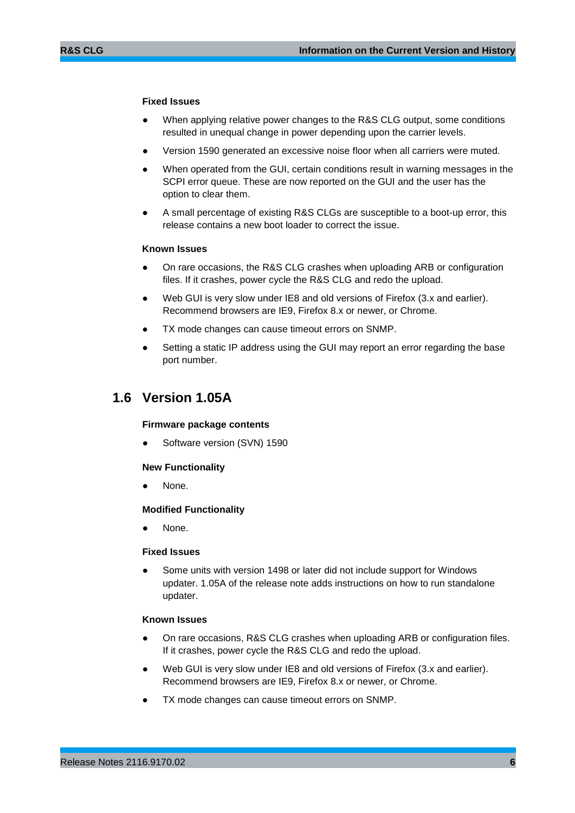#### **Fixed Issues**

- When applying relative power changes to the R&S CLG output, some conditions resulted in unequal change in power depending upon the carrier levels.
- Version 1590 generated an excessive noise floor when all carriers were muted.
- When operated from the GUI, certain conditions result in warning messages in the SCPI error queue. These are now reported on the GUI and the user has the option to clear them.
- A small percentage of existing R&S CLGs are susceptible to a boot-up error, this release contains a new boot loader to correct the issue.

#### **Known Issues**

- On rare occasions, the R&S CLG crashes when uploading ARB or configuration files. If it crashes, power cycle the R&S CLG and redo the upload.
- Web GUI is very slow under IE8 and old versions of Firefox (3.x and earlier). Recommend browsers are IE9, Firefox 8.x or newer, or Chrome.
- TX mode changes can cause timeout errors on SNMP.
- <span id="page-5-0"></span>Setting a static IP address using the GUI may report an error regarding the base port number.

### **1.6 Version 1.05A**

#### **Firmware package contents**

Software version (SVN) 1590

#### **New Functionality**

None.

#### **Modified Functionality**

None.

#### **Fixed Issues**

Some units with version 1498 or later did not include support for Windows updater. 1.05A of the release note adds instructions on how to run standalone updater.

#### **Known Issues**

- On rare occasions, R&S CLG crashes when uploading ARB or configuration files. If it crashes, power cycle the R&S CLG and redo the upload.
- Web GUI is very slow under IE8 and old versions of Firefox (3.x and earlier). Recommend browsers are IE9, Firefox 8.x or newer, or Chrome.
- TX mode changes can cause timeout errors on SNMP.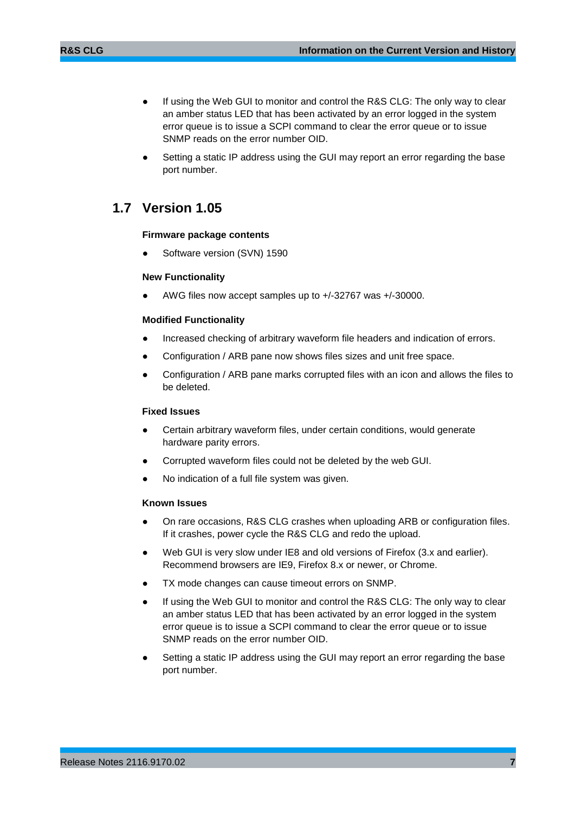- If using the Web GUI to monitor and control the R&S CLG: The only way to clear an amber status LED that has been activated by an error logged in the system error queue is to issue a SCPI command to clear the error queue or to issue SNMP reads on the error number OID.
- <span id="page-6-0"></span>Setting a static IP address using the GUI may report an error regarding the base port number.

## **1.7 Version 1.05**

#### **Firmware package contents**

Software version (SVN) 1590

#### **New Functionality**

AWG files now accept samples up to +/-32767 was +/-30000.

#### **Modified Functionality**

- Increased checking of arbitrary waveform file headers and indication of errors.
- Configuration / ARB pane now shows files sizes and unit free space.
- Configuration / ARB pane marks corrupted files with an icon and allows the files to be deleted.

#### **Fixed Issues**

- Certain arbitrary waveform files, under certain conditions, would generate hardware parity errors.
- Corrupted waveform files could not be deleted by the web GUI.
- No indication of a full file system was given.

#### **Known Issues**

- On rare occasions, R&S CLG crashes when uploading ARB or configuration files. If it crashes, power cycle the R&S CLG and redo the upload.
- Web GUI is very slow under IE8 and old versions of Firefox (3.x and earlier). Recommend browsers are IE9, Firefox 8.x or newer, or Chrome.
- TX mode changes can cause timeout errors on SNMP.
- If using the Web GUI to monitor and control the R&S CLG: The only way to clear an amber status LED that has been activated by an error logged in the system error queue is to issue a SCPI command to clear the error queue or to issue SNMP reads on the error number OID.
- Setting a static IP address using the GUI may report an error regarding the base port number.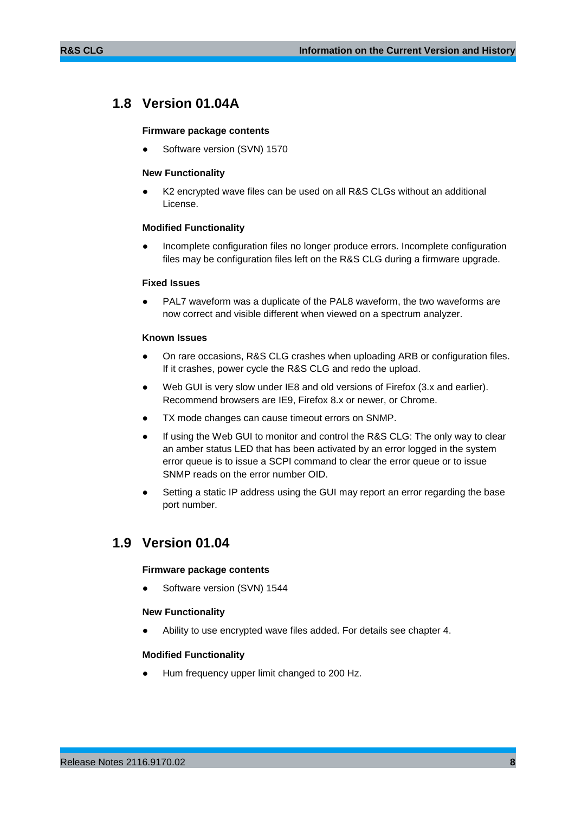## <span id="page-7-0"></span>**1.8 Version 01.04A**

#### **Firmware package contents**

Software version (SVN) 1570

#### **New Functionality**

K2 encrypted wave files can be used on all R&S CLGs without an additional License.

#### **Modified Functionality**

Incomplete configuration files no longer produce errors. Incomplete configuration files may be configuration files left on the R&S CLG during a firmware upgrade.

#### **Fixed Issues**

PAL7 waveform was a duplicate of the PAL8 waveform, the two waveforms are now correct and visible different when viewed on a spectrum analyzer.

#### **Known Issues**

- On rare occasions, R&S CLG crashes when uploading ARB or configuration files. If it crashes, power cycle the R&S CLG and redo the upload.
- Web GUI is very slow under IE8 and old versions of Firefox (3.x and earlier). Recommend browsers are IE9, Firefox 8.x or newer, or Chrome.
- TX mode changes can cause timeout errors on SNMP.
- If using the Web GUI to monitor and control the R&S CLG: The only way to clear an amber status LED that has been activated by an error logged in the system error queue is to issue a SCPI command to clear the error queue or to issue SNMP reads on the error number OID.
- <span id="page-7-1"></span>Setting a static IP address using the GUI may report an error regarding the base port number.

### **1.9 Version 01.04**

#### **Firmware package contents**

Software version (SVN) 1544

#### **New Functionality**

Ability to use encrypted wave files added. For details see chapter [4.](#page-18-0)

#### **Modified Functionality**

Hum frequency upper limit changed to 200 Hz.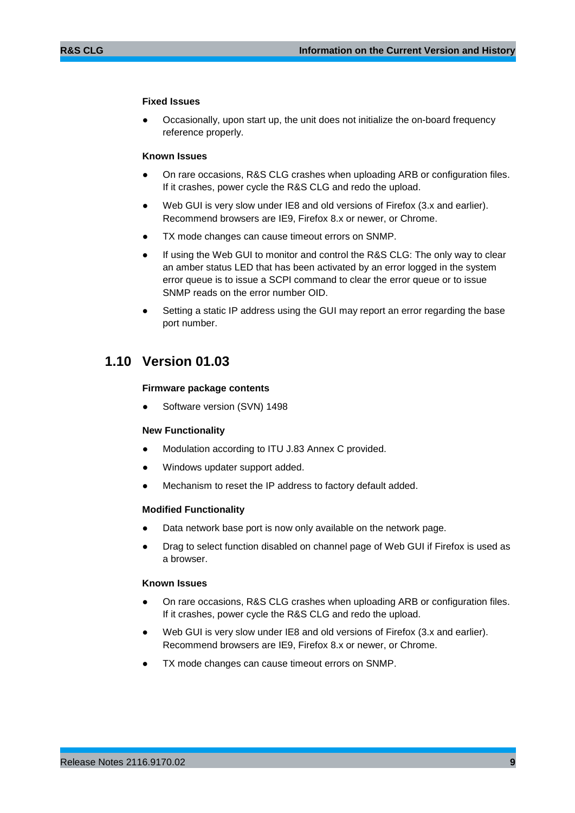#### **Fixed Issues**

Occasionally, upon start up, the unit does not initialize the on-board frequency reference properly.

#### **Known Issues**

- On rare occasions, R&S CLG crashes when uploading ARB or configuration files. If it crashes, power cycle the R&S CLG and redo the upload.
- Web GUI is very slow under IE8 and old versions of Firefox (3.x and earlier). Recommend browsers are IE9, Firefox 8.x or newer, or Chrome.
- TX mode changes can cause timeout errors on SNMP.
- If using the Web GUI to monitor and control the R&S CLG: The only way to clear an amber status LED that has been activated by an error logged in the system error queue is to issue a SCPI command to clear the error queue or to issue SNMP reads on the error number OID.
- <span id="page-8-0"></span>Setting a static IP address using the GUI may report an error regarding the base port number.

## **1.10 Version 01.03**

#### **Firmware package contents**

Software version (SVN) 1498

#### **New Functionality**

- Modulation according to ITU J.83 Annex C provided.
- Windows updater support added.
- Mechanism to reset the IP address to factory default added.

#### **Modified Functionality**

- Data network base port is now only available on the network page.
- Drag to select function disabled on channel page of Web GUI if Firefox is used as a browser.

#### **Known Issues**

- On rare occasions, R&S CLG crashes when uploading ARB or configuration files. If it crashes, power cycle the R&S CLG and redo the upload.
- Web GUI is very slow under IE8 and old versions of Firefox (3.x and earlier). Recommend browsers are IE9, Firefox 8.x or newer, or Chrome.
- TX mode changes can cause timeout errors on SNMP.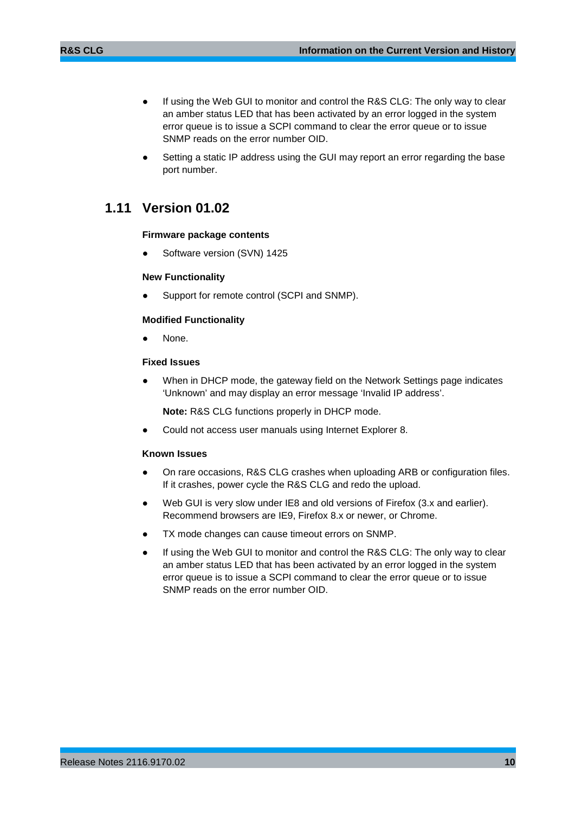- If using the Web GUI to monitor and control the R&S CLG: The only way to clear an amber status LED that has been activated by an error logged in the system error queue is to issue a SCPI command to clear the error queue or to issue SNMP reads on the error number OID.
- <span id="page-9-0"></span>Setting a static IP address using the GUI may report an error regarding the base port number.

## **1.11 Version 01.02**

#### **Firmware package contents**

Software version (SVN) 1425

#### **New Functionality**

Support for remote control (SCPI and SNMP).

#### **Modified Functionality**

None.

#### **Fixed Issues**

When in DHCP mode, the gateway field on the Network Settings page indicates 'Unknown' and may display an error message 'Invalid IP address'.

**Note:** R&S CLG functions properly in DHCP mode.

Could not access user manuals using Internet Explorer 8.

#### **Known Issues**

- On rare occasions, R&S CLG crashes when uploading ARB or configuration files. If it crashes, power cycle the R&S CLG and redo the upload.
- Web GUI is very slow under IE8 and old versions of Firefox (3.x and earlier). Recommend browsers are IE9, Firefox 8.x or newer, or Chrome.
- TX mode changes can cause timeout errors on SNMP.
- If using the Web GUI to monitor and control the R&S CLG: The only way to clear an amber status LED that has been activated by an error logged in the system error queue is to issue a SCPI command to clear the error queue or to issue SNMP reads on the error number OID.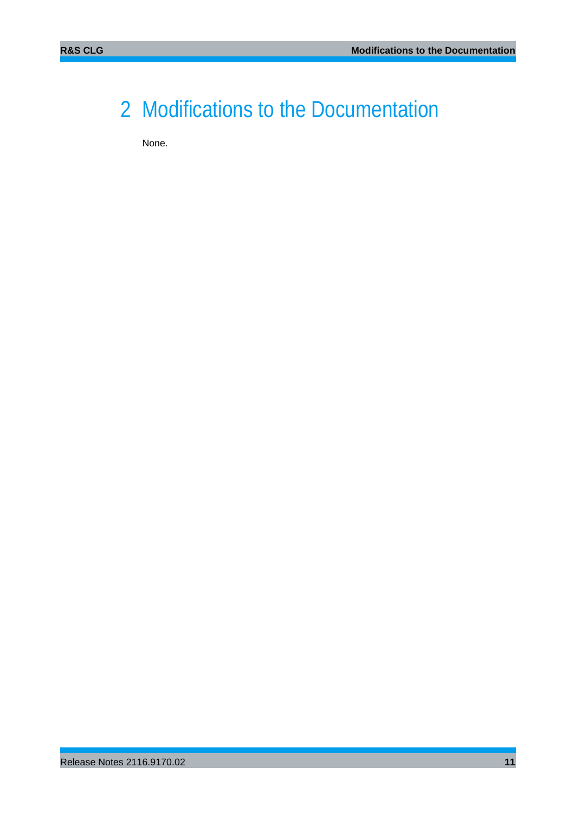## <span id="page-10-0"></span>2 Modifications to the Documentation

None.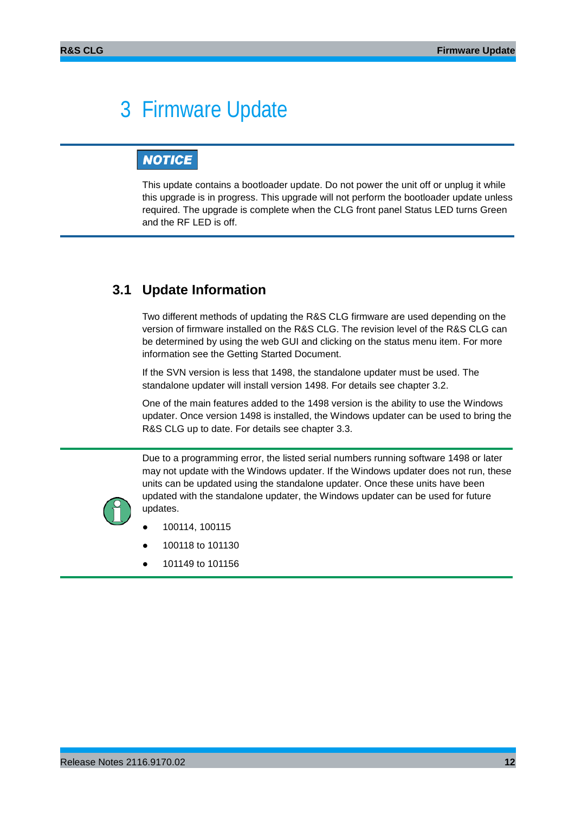## <span id="page-11-0"></span>3 Firmware Update

## **NOTICE**

This update contains a bootloader update. Do not power the unit off or unplug it while this upgrade is in progress. This upgrade will not perform the bootloader update unless required. The upgrade is complete when the CLG front panel Status LED turns Green and the RF LED is off.

## <span id="page-11-1"></span>**3.1 Update Information**

Two different methods of updating the R&S CLG firmware are used depending on the version of firmware installed on the R&S CLG. The revision level of the R&S CLG can be determined by using the web GUI and clicking on the status menu item. For more information see the Getting Started Document.

If the SVN version is less that 1498, the standalone updater must be used. The standalone updater will install version 1498. For details see chapter [3.2.](#page-12-0)

One of the main features added to the 1498 version is the ability to use the Windows updater. Once version 1498 is installed, the Windows updater can be used to bring the R&S CLG up to date. For details see chapter [3.3.](#page-14-0)

Due to a programming error, the listed serial numbers running software 1498 or later may not update with the Windows updater. If the Windows updater does not run, these units can be updated using the standalone updater. Once these units have been updated with the standalone updater, the Windows updater can be used for future updates.



- 100114, 100115
- 100118 to 101130
- 101149 to 101156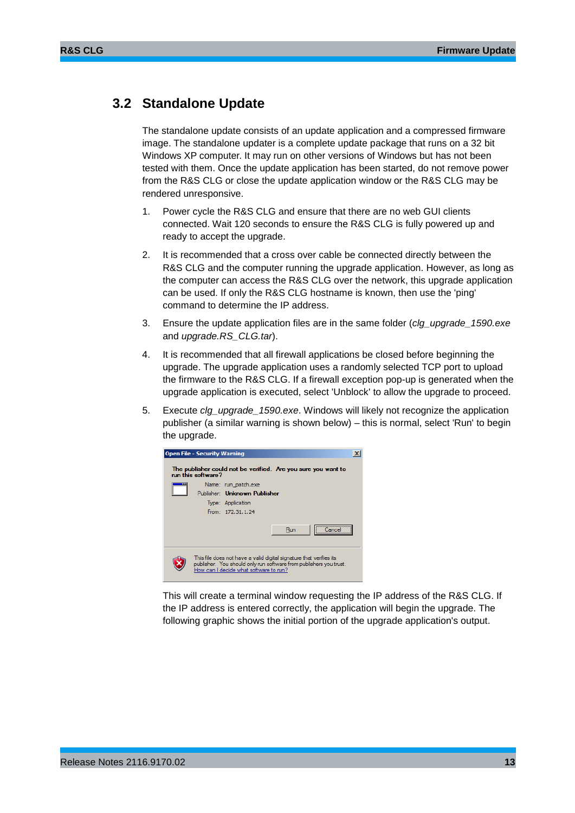### <span id="page-12-0"></span>**3.2 Standalone Update**

The standalone update consists of an update application and a compressed firmware image. The standalone updater is a complete update package that runs on a 32 bit Windows XP computer. It may run on other versions of Windows but has not been tested with them. Once the update application has been started, do not remove power from the R&S CLG or close the update application window or the R&S CLG may be rendered unresponsive.

- 1. Power cycle the R&S CLG and ensure that there are no web GUI clients connected. Wait 120 seconds to ensure the R&S CLG is fully powered up and ready to accept the upgrade.
- 2. It is recommended that a cross over cable be connected directly between the R&S CLG and the computer running the upgrade application. However, as long as the computer can access the R&S CLG over the network, this upgrade application can be used. If only the R&S CLG hostname is known, then use the 'ping' command to determine the IP address.
- 3. Ensure the update application files are in the same folder (*clg\_upgrade\_1590.exe* and *upgrade.RS\_CLG.tar*).
- 4. It is recommended that all firewall applications be closed before beginning the upgrade. The upgrade application uses a randomly selected TCP port to upload the firmware to the R&S CLG. If a firewall exception pop-up is generated when the upgrade application is executed, select 'Unblock' to allow the upgrade to proceed.
- 5. Execute *clg\_upgrade\_1590.exe*. Windows will likely not recognize the application publisher (a similar warning is shown below) – this is normal, select 'Run' to begin the upgrade.



This will create a terminal window requesting the IP address of the R&S CLG. If the IP address is entered correctly, the application will begin the upgrade. The following graphic shows the initial portion of the upgrade application's output.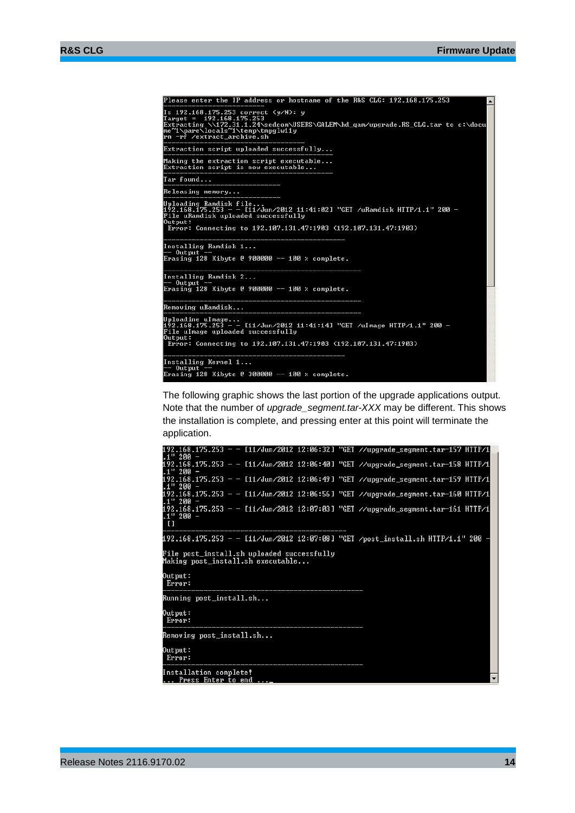| Please enter the IP address or hostname of the R&S CLG: 192.168.175.253                                                                                                                                                       | A |
|-------------------------------------------------------------------------------------------------------------------------------------------------------------------------------------------------------------------------------|---|
| Is $192.168.175.253$ correct $(y/N)$ : y<br>Target = $192.168.175.253$<br>Extracting \\172.31.1.24\sedcom\USERS\GALEM\hd_qam/upgrade.RS_CLG.tar to c:\docu<br>me~1\pare\locals~1\temp\tmpglw11y<br>rm -rf /extract archive.sh |   |
| Extraction script uploaded successfully                                                                                                                                                                                       |   |
| Making the extraction script executable<br>Extraction script is now executable                                                                                                                                                |   |
| Tar found                                                                                                                                                                                                                     |   |
| Releasing memory                                                                                                                                                                                                              |   |
| Uploading Ramdisk file<br>192.168.175.253 − − [11/Jun/2012 11:41:02] "GET /uRamdisk HTTP/1.1" 200 −<br>File uRamdisk uploaded successfully<br>Output:<br>Error: Connecting to 192.107.131.47:1903 (192.107.131.47:1903)       |   |
| Installing Ramdisk 1<br>-- Output --<br>Erasing 128 Kibyte @ 900000 -- 100 % complete.                                                                                                                                        |   |
| Installing Ramdisk 2<br>-- Output                                                                                                                                                                                             |   |
| Erasing 128 Kibyte @ 900000 -- 100 % complete.                                                                                                                                                                                |   |
| _______________________<br>Removing uRamdisk<br><u> De seu de la componentat de la componentat de la compo</u>                                                                                                                |   |
| Uploadine uImage<br>192.168.175.253 − − [11/Jun/2012 11:41:14] "GET /uImage HTTP/1.1" 200 −<br>File uImage uploaded successfully<br>Output:<br>Error: Connecting to 192.107.131.47:1903 (192.107.131.47:1903)                 |   |
| Installing Kernel 1<br>$--$ Output                                                                                                                                                                                            |   |
| Erasing 128 Kibyte @ 300000 -- 100 % complete.                                                                                                                                                                                |   |

The following graphic shows the last portion of the upgrade applications output. Note that the number of *upgrade\_segment.tar-XXX* may be different. This shows the installation is complete, and pressing enter at this point will terminate the application.

| Press Enter to end _                                                                                |  |
|-----------------------------------------------------------------------------------------------------|--|
| Output:<br>Error:<br>Installation complete!                                                         |  |
| Removing post_install.sh                                                                            |  |
| Output:<br>Error:                                                                                   |  |
| Running post_install.sh                                                                             |  |
| Output:<br>Error:                                                                                   |  |
| File post_install.sh uploaded successfully<br>Making post_install.sh executable                     |  |
| 192.168.175.253 - - [11/Jun/2012 12:07:08] "GET /post_install.sh HTTP/1.1" 200 ·                    |  |
| 192.168.175.253 - - [11/Jun/2012 12:07:03] "GET //upgrade_segment.tar-161 HTTP/1<br>$.1"200 -$<br>n |  |
| 192.168.175.253 - - [11/Jun/2012 12:06:56] "GET //upgrade_segment.tar-160 HTTP/1<br>.1" 200 -       |  |
| 192.168.175.253 - - [11/Jun/2012 12:06:49] "GET //upgrade_segment.tar-159 HTTP/1<br>$.1"200 -$      |  |
| 192.168.175.253 - - [11/Jun/2012 12:06:40] "GET //upgrade_segment.tar-158 HTTP/1<br>$.1"200 -$      |  |
| 192.168.175.253 - - [11/Jun/2012 12:06:32] "GET //upgrade_segment.tar-157 HTTP/1 <br>- 200. ل       |  |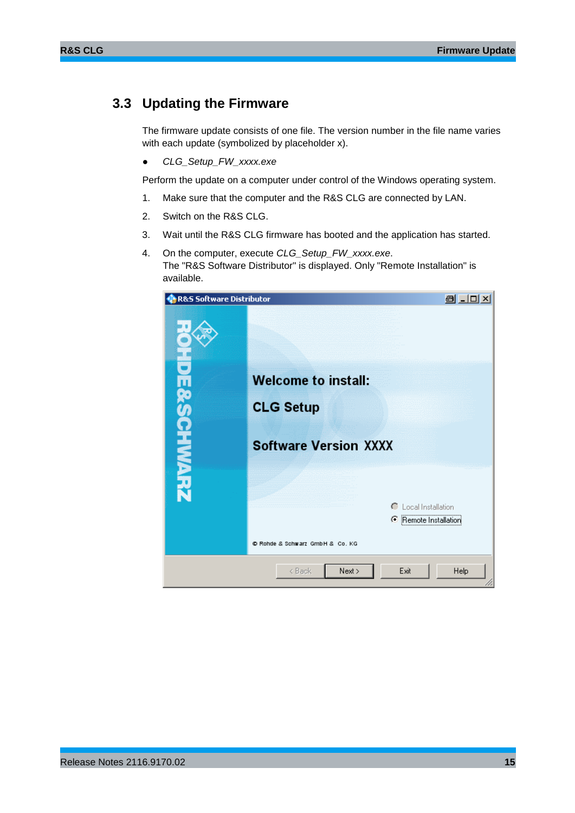## <span id="page-14-0"></span>**3.3 Updating the Firmware**

The firmware update consists of one file. The version number in the file name varies with each update (symbolized by placeholder x).

● *CLG\_Setup\_FW\_xxxx.exe*

Perform the update on a computer under control of the Windows operating system.

- 1. Make sure that the computer and the R&S CLG are connected by LAN.
- 2. Switch on the R&S CLG.
- 3. Wait until the R&S CLG firmware has booted and the application has started.
- 4. On the computer, execute *CLG\_Setup\_FW\_xxxx.exe*. The "R&S Software Distributor" is displayed. Only "Remote Installation" is available.

| R&S Software Distributor |                                 | @ _ O x                      |
|--------------------------|---------------------------------|------------------------------|
|                          |                                 |                              |
|                          | <b>Welcome to install:</b>      |                              |
|                          | <b>CLG Setup</b>                |                              |
| <b>FINANZA PA</b>        | <b>Software Version XXXX</b>    |                              |
|                          |                                 | C Local Installation         |
|                          |                                 | <b>E</b> Remote Installation |
|                          | C Rohde & Schwarz GmbH & Co. KG |                              |
|                          | Next ><br>< Back                | Exit<br><b>Help</b>          |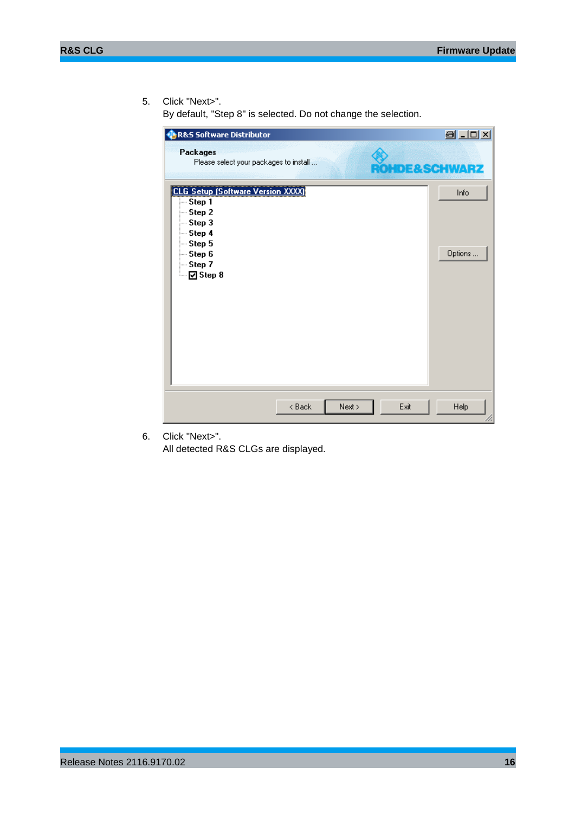5. Click "Next>".

By default, "Step 8" is selected. Do not change the selection.

| <b>R&amp;S Software Distributor</b>                                                                                                            | <b>BLOX</b>            |
|------------------------------------------------------------------------------------------------------------------------------------------------|------------------------|
| <b>Packages</b><br>Please select your packages to install                                                                                      | <b>HDE&amp;SCHWARZ</b> |
| <b>CLG Setup (Software Version XXXX)</b><br>-- Step 1<br>-- Step 2<br>- Step 3<br>- Step 4<br>— Step 5<br>-- Step 6<br>- Step 7<br>— Ø] Step 8 | Info<br>Options        |
| < Back<br>Next >                                                                                                                               | Help<br>Exit           |

6. Click "Next>".

All detected R&S CLGs are displayed.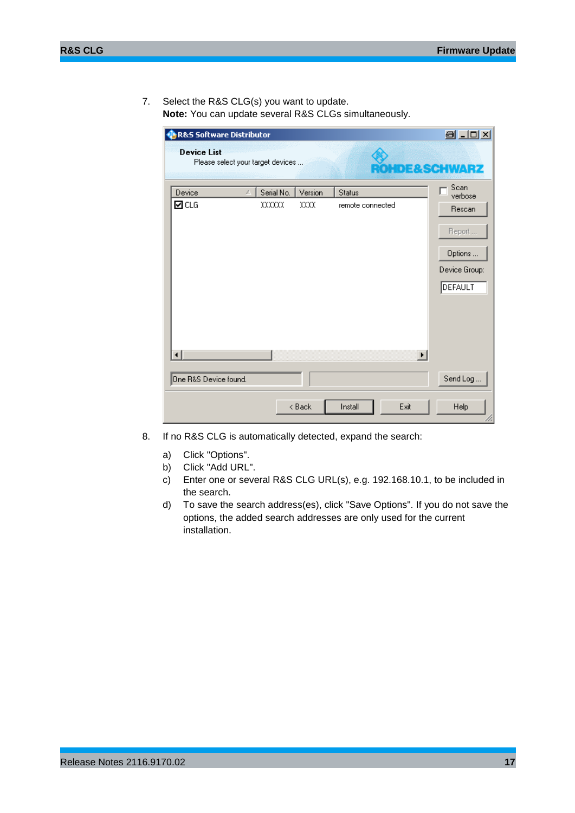7. Select the R&S CLG(s) you want to update. **Note:** You can update several R&S CLGs simultaneously.

| R&S Software Distributor                                |            |         |                  |                | 8 JO X                                                  |
|---------------------------------------------------------|------------|---------|------------------|----------------|---------------------------------------------------------|
| <b>Device List</b><br>Please select your target devices |            |         |                  |                | <b>DE&amp;SCHWARZ</b>                                   |
| Device<br>A.                                            | Serial No. | Version | <b>Status</b>    |                | Scan<br>verbose                                         |
| ⊡c∟G                                                    | xxxxx      | xxx     | remote connected |                | Rescan<br>Report<br>Options<br>Device Group:<br>DEFAULT |
|                                                         |            |         |                  | $\blacksquare$ |                                                         |
| One R&S Device found.                                   |            |         |                  |                | Send Log                                                |
|                                                         |            | < Back  | Install          | Exit           | Help                                                    |

- 8. If no R&S CLG is automatically detected, expand the search:
	- a) Click "Options".
	- b) Click "Add URL".
	- c) Enter one or several R&S CLG URL(s), e.g. 192.168.10.1, to be included in the search.
	- d) To save the search address(es), click "Save Options". If you do not save the options, the added search addresses are only used for the current installation.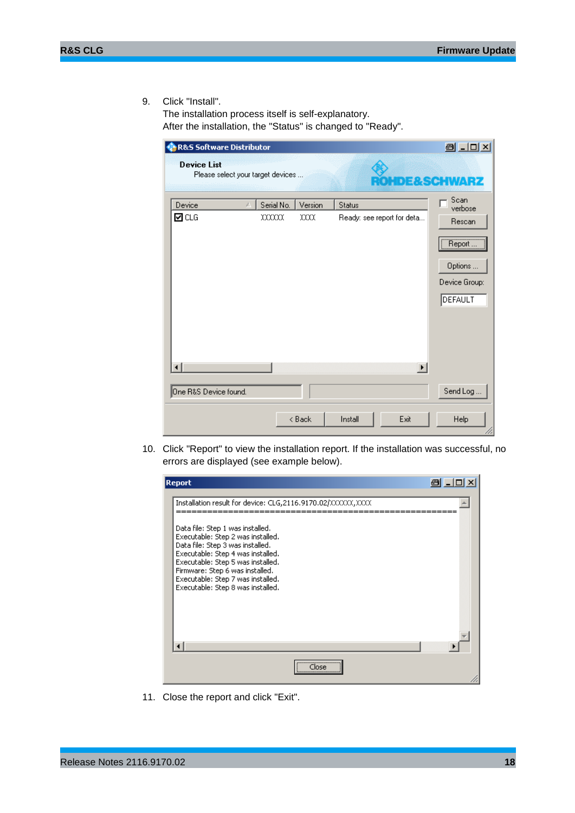9. Click "Install".

The installation process itself is self-explanatory. After the installation, the "Status" is changed to "Ready".

| R&S Software Distributor |                                   |            |         |         |                                             | 8 .0 x                                                  |
|--------------------------|-----------------------------------|------------|---------|---------|---------------------------------------------|---------------------------------------------------------|
| <b>Device List</b>       | Please select your target devices |            |         |         |                                             | DE&SCHWARZ                                              |
| Device                   | A.                                | Serial No. | Version | Status  |                                             | Scan<br>verbose                                         |
| ☑cLG                     |                                   | xxxxx      | xxx     |         | Ready: see report for deta<br>$\vert \vert$ | Rescan<br>Report<br>Options<br>Device Group:<br>DEFAULT |
| One R&S Device found.    |                                   |            |         |         |                                             | Send Log                                                |
|                          |                                   |            | < Back  | Install | Exit                                        | Help                                                    |

10. Click "Report" to view the installation report. If the installation was successful, no errors are displayed (see example below).



11. Close the report and click "Exit".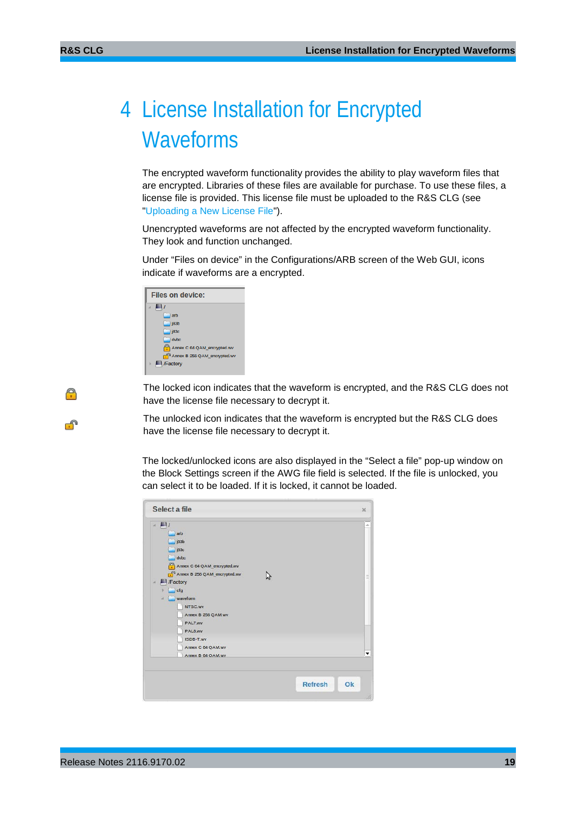A

ூ

## <span id="page-18-0"></span>4 License Installation for Encrypted Waveforms

The encrypted waveform functionality provides the ability to play waveform files that are encrypted. Libraries of these files are available for purchase. To use these files, a license file is provided. This license file must be uploaded to the R&S CLG (see ["Uploading a New License File"](#page-19-0)).

Unencrypted waveforms are not affected by the encrypted waveform functionality. They look and function unchanged.

Under "Files on device" in the Configurations/ARB screen of the Web GUI, icons indicate if waveforms are a encrypted.

| Files on device:                    |
|-------------------------------------|
| $\leftarrow$ 11                     |
| arb                                 |
| $ $ i83b                            |
| 183c                                |
| $\Box$ dvbc                         |
| Annex C 64 QAM encrypted.wv         |
| $\Box$ Annex B 256 QAM encrypted.wv |
| /Factory                            |
|                                     |

The locked icon indicates that the waveform is encrypted, and the R&S CLG does not have the license file necessary to decrypt it.

The unlocked icon indicates that the waveform is encrypted but the R&S CLG does have the license file necessary to decrypt it.

The locked/unlocked icons are also displayed in the "Select a file" pop-up window on the Block Settings screen if the AWG file field is selected. If the file is unlocked, you can select it to be loaded. If it is locked, it cannot be loaded.

| Select a file                 |                                                                                                                                                                                |                      | $\mathbb{X}$         |
|-------------------------------|--------------------------------------------------------------------------------------------------------------------------------------------------------------------------------|----------------------|----------------------|
| $\blacksquare$<br>a<br>и<br>a | arb<br>j83b<br> 83c<br>dvbc<br>Annex C 64 QAM_encrypted.wv<br>Annex B 256 QAM_encrypted.wv<br>I /Factory<br>$\Box$ cfg<br>waveform<br>NTSC.wv<br>Annex B 256 QAM.wv<br>PAL7.wv |                      | à.<br>$\equiv$       |
|                               | PAL8.wv<br>ISDB-T.wv<br>Annex C 64 QAM.wv<br>Annex B 64 OAM.wv                                                                                                                 |                      | $\blacktriangledown$ |
|                               |                                                                                                                                                                                | <b>Refresh</b><br>Ok |                      |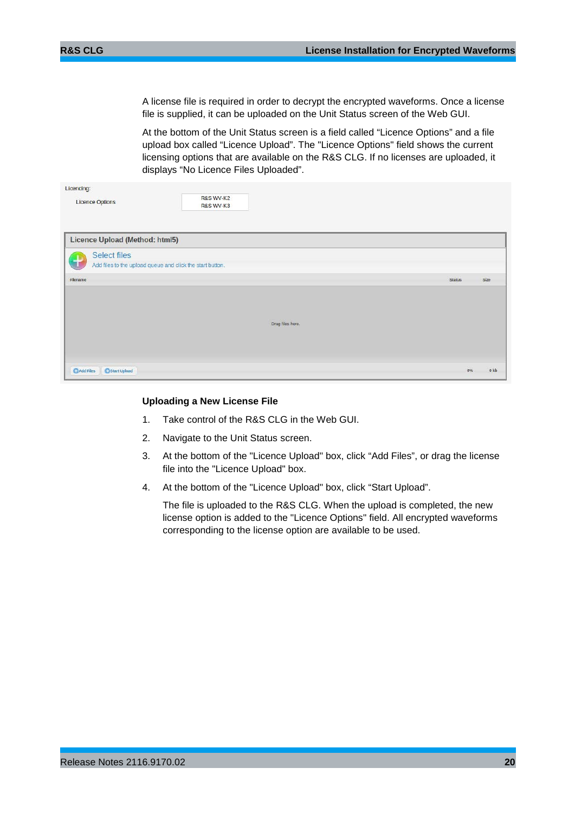A license file is required in order to decrypt the encrypted waveforms. Once a license file is supplied, it can be uploaded on the Unit Status screen of the Web GUI.

At the bottom of the Unit Status screen is a field called "Licence Options" and a file upload box called "Licence Upload". The "Licence Options" field shows the current licensing options that are available on the R&S CLG. If no licenses are uploaded, it displays "No Licence Files Uploaded".

| Licencing:                                                         |                                              |                  |               |                 |
|--------------------------------------------------------------------|----------------------------------------------|------------------|---------------|-----------------|
| <b>Licence Options</b>                                             | <b>R&amp;S WV-K2</b><br><b>R&amp;S WV-K3</b> |                  |               |                 |
|                                                                    |                                              |                  |               |                 |
|                                                                    |                                              |                  |               |                 |
| Licence Upload (Method: html5)                                     |                                              |                  |               |                 |
| <b>Select files</b>                                                |                                              |                  |               |                 |
| $\pm$<br>Add files to the upload queue and click the start button. |                                              |                  |               |                 |
| Filename                                                           |                                              |                  | <b>Status</b> | Size            |
|                                                                    |                                              |                  |               |                 |
|                                                                    |                                              |                  |               |                 |
|                                                                    |                                              |                  |               |                 |
|                                                                    |                                              | Drag files here. |               |                 |
|                                                                    |                                              |                  |               |                 |
|                                                                    |                                              |                  |               |                 |
|                                                                    |                                              |                  | 0%            | 0 <sub>kb</sub> |
| Start Upload<br><b>C</b> Add Files                                 |                                              |                  |               |                 |

#### <span id="page-19-0"></span>**Uploading a New License File**

- 1. Take control of the R&S CLG in the Web GUI.
- 2. Navigate to the Unit Status screen.
- 3. At the bottom of the "Licence Upload" box, click "Add Files", or drag the license file into the "Licence Upload" box.
- 4. At the bottom of the "Licence Upload" box, click "Start Upload".

The file is uploaded to the R&S CLG. When the upload is completed, the new license option is added to the "Licence Options" field. All encrypted waveforms corresponding to the license option are available to be used.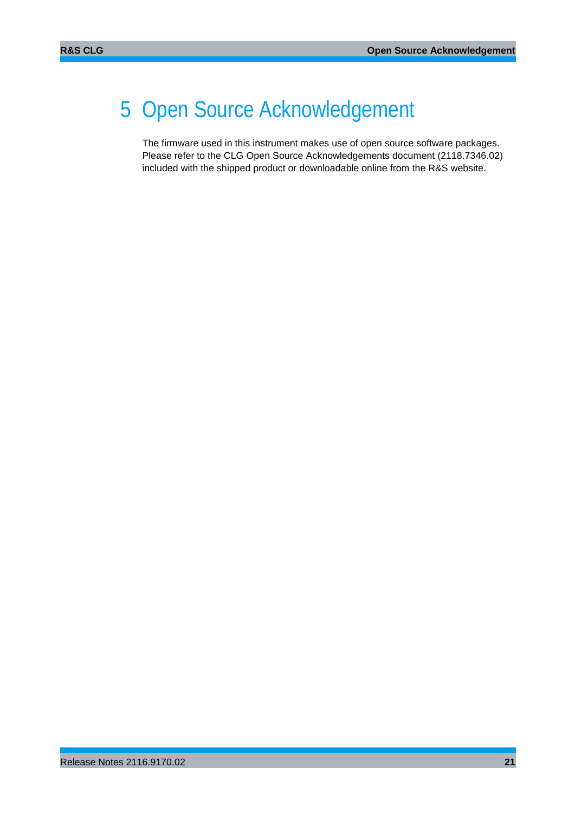## <span id="page-20-0"></span>5 Open Source Acknowledgement

The firmware used in this instrument makes use of open source software packages. Please refer to the CLG Open Source Acknowledgements document (2118.7346.02) included with the shipped product or downloadable online from the R&S website.